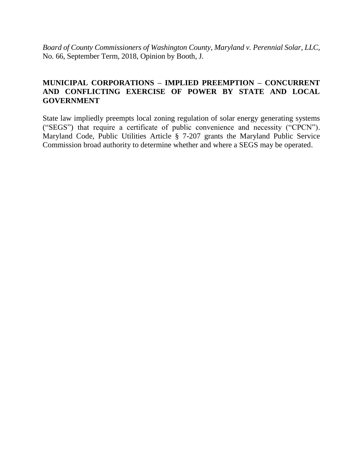*Board of County Commissioners of Washington County, Maryland v. Perennial Solar, LLC*, No. 66, September Term, 2018, Opinion by Booth, J.

# **MUNICIPAL CORPORATIONS – IMPLIED PREEMPTION – CONCURRENT AND CONFLICTING EXERCISE OF POWER BY STATE AND LOCAL GOVERNMENT**

State law impliedly preempts local zoning regulation of solar energy generating systems ("SEGS") that require a certificate of public convenience and necessity ("CPCN"). Maryland Code, Public Utilities Article § 7-207 grants the Maryland Public Service Commission broad authority to determine whether and where a SEGS may be operated.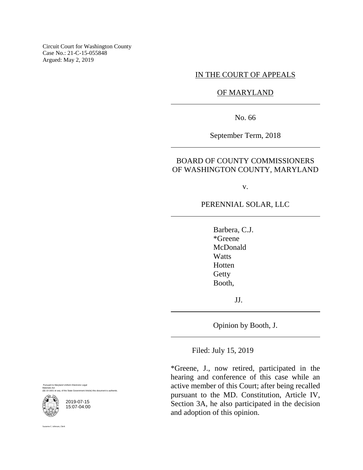Circuit Court for Washington County Case No.: 21-C-15-055848 Argued: May 2, 2019

### IN THE COURT OF APPEALS

OF MARYLAND

No. 66

September Term, 2018

## BOARD OF COUNTY COMMISSIONERS OF WASHINGTON COUNTY, MARYLAND

v.

# PERENNIAL SOLAR, LLC

Barbera, C.J. \*Greene McDonald **Watts** Hotten **Getty** Booth,

JJ.

Opinion by Booth, J.

Filed: July 15, 2019

\*Greene, J., now retired, participated in the hearing and conference of this case while an active member of this Court; after being recalled pursuant to the MD. Constitution, Article IV, Section 3A, he also participated in the decision and adoption of this opinion.

Maryland Uniform Electronic Legal Materials Act eq. of the State Government Article) this document is



ne C. Johnson, Clerk

2019-07-15 15:07-04:00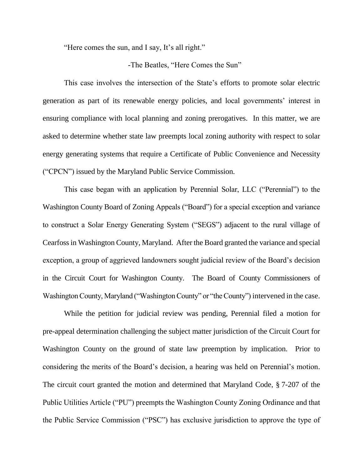"Here comes the sun, and I say, It's all right."

#### -The Beatles, "Here Comes the Sun"

This case involves the intersection of the State's efforts to promote solar electric generation as part of its renewable energy policies, and local governments' interest in ensuring compliance with local planning and zoning prerogatives. In this matter, we are asked to determine whether state law preempts local zoning authority with respect to solar energy generating systems that require a Certificate of Public Convenience and Necessity ("CPCN") issued by the Maryland Public Service Commission.

This case began with an application by Perennial Solar, LLC ("Perennial") to the Washington County Board of Zoning Appeals ("Board") for a special exception and variance to construct a Solar Energy Generating System ("SEGS") adjacent to the rural village of Cearfoss in Washington County, Maryland. After the Board granted the variance and special exception, a group of aggrieved landowners sought judicial review of the Board's decision in the Circuit Court for Washington County. The Board of County Commissioners of Washington County, Maryland ("Washington County" or "the County") intervened in the case.

While the petition for judicial review was pending, Perennial filed a motion for pre-appeal determination challenging the subject matter jurisdiction of the Circuit Court for Washington County on the ground of state law preemption by implication. Prior to considering the merits of the Board's decision, a hearing was held on Perennial's motion. The circuit court granted the motion and determined that Maryland Code, § 7-207 of the Public Utilities Article ("PU") preempts the Washington County Zoning Ordinance and that the Public Service Commission ("PSC") has exclusive jurisdiction to approve the type of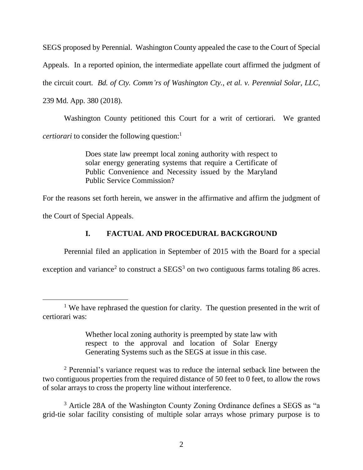SEGS proposed by Perennial. Washington County appealed the case to the Court of Special Appeals. In a reported opinion, the intermediate appellate court affirmed the judgment of the circuit court. *Bd. of Cty. Comm'rs of Washington Cty., et al. v. Perennial Solar, LLC*, 239 Md. App. 380 (2018).

Washington County petitioned this Court for a writ of certiorari. We granted *certiorari* to consider the following question: 1

> Does state law preempt local zoning authority with respect to solar energy generating systems that require a Certificate of Public Convenience and Necessity issued by the Maryland Public Service Commission?

For the reasons set forth herein, we answer in the affirmative and affirm the judgment of the Court of Special Appeals.

# **I. FACTUAL AND PROCEDURAL BACKGROUND**

Perennial filed an application in September of 2015 with the Board for a special

exception and variance<sup>2</sup> to construct a  $SEGS<sup>3</sup>$  on two contiguous farms totaling 86 acres.

 $\overline{a}$ 

Whether local zoning authority is preempted by state law with respect to the approval and location of Solar Energy Generating Systems such as the SEGS at issue in this case.

<sup>2</sup> Perennial's variance request was to reduce the internal setback line between the two contiguous properties from the required distance of 50 feet to 0 feet, to allow the rows of solar arrays to cross the property line without interference.

<sup>&</sup>lt;sup>1</sup> We have rephrased the question for clarity. The question presented in the writ of certiorari was:

<sup>&</sup>lt;sup>3</sup> Article 28A of the Washington County Zoning Ordinance defines a SEGS as "a grid-tie solar facility consisting of multiple solar arrays whose primary purpose is to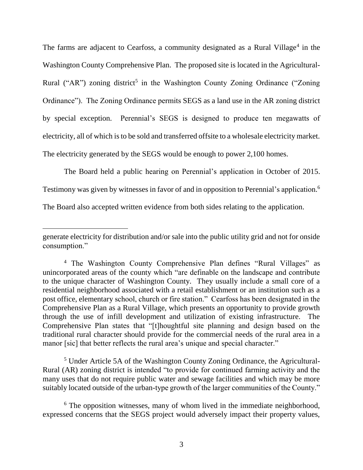The farms are adjacent to Cearfoss, a community designated as a Rural Village<sup>4</sup> in the Washington County Comprehensive Plan. The proposed site is located in the Agricultural-Rural ("AR") zoning district<sup>5</sup> in the Washington County Zoning Ordinance ("Zoning Ordinance"). The Zoning Ordinance permits SEGS as a land use in the AR zoning district by special exception. Perennial's SEGS is designed to produce ten megawatts of electricity, all of which is to be sold and transferred offsite to a wholesale electricity market. The electricity generated by the SEGS would be enough to power 2,100 homes.

The Board held a public hearing on Perennial's application in October of 2015.

Testimony was given by witnesses in favor of and in opposition to Perennial's application. 6

The Board also accepted written evidence from both sides relating to the application.

<sup>5</sup> Under Article 5A of the Washington County Zoning Ordinance, the Agricultural-Rural (AR) zoning district is intended "to provide for continued farming activity and the many uses that do not require public water and sewage facilities and which may be more suitably located outside of the urban-type growth of the larger communities of the County."

generate electricity for distribution and/or sale into the public utility grid and not for onside consumption."

<sup>&</sup>lt;sup>4</sup> The Washington County Comprehensive Plan defines "Rural Villages" as unincorporated areas of the county which "are definable on the landscape and contribute to the unique character of Washington County. They usually include a small core of a residential neighborhood associated with a retail establishment or an institution such as a post office, elementary school, church or fire station." Cearfoss has been designated in the Comprehensive Plan as a Rural Village, which presents an opportunity to provide growth through the use of infill development and utilization of existing infrastructure. The Comprehensive Plan states that "[t]houghtful site planning and design based on the traditional rural character should provide for the commercial needs of the rural area in a manor [sic] that better reflects the rural area's unique and special character."

<sup>&</sup>lt;sup>6</sup> The opposition witnesses, many of whom lived in the immediate neighborhood, expressed concerns that the SEGS project would adversely impact their property values,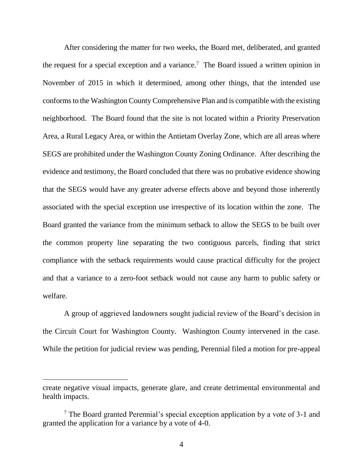After considering the matter for two weeks, the Board met, deliberated, and granted the request for a special exception and a variance.<sup>7</sup> The Board issued a written opinion in November of 2015 in which it determined, among other things, that the intended use conforms to the Washington County Comprehensive Plan and is compatible with the existing neighborhood. The Board found that the site is not located within a Priority Preservation Area, a Rural Legacy Area, or within the Antietam Overlay Zone, which are all areas where SEGS are prohibited under the Washington County Zoning Ordinance. After describing the evidence and testimony, the Board concluded that there was no probative evidence showing that the SEGS would have any greater adverse effects above and beyond those inherently associated with the special exception use irrespective of its location within the zone. The Board granted the variance from the minimum setback to allow the SEGS to be built over the common property line separating the two contiguous parcels, finding that strict compliance with the setback requirements would cause practical difficulty for the project and that a variance to a zero-foot setback would not cause any harm to public safety or welfare.

A group of aggrieved landowners sought judicial review of the Board's decision in the Circuit Court for Washington County. Washington County intervened in the case. While the petition for judicial review was pending, Perennial filed a motion for pre-appeal

create negative visual impacts, generate glare, and create detrimental environmental and health impacts.

<sup>7</sup> The Board granted Perennial's special exception application by a vote of 3-1 and granted the application for a variance by a vote of 4-0.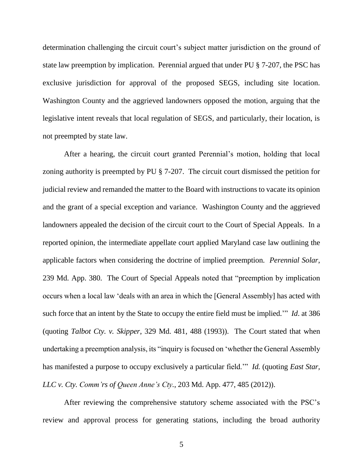determination challenging the circuit court's subject matter jurisdiction on the ground of state law preemption by implication. Perennial argued that under PU § 7-207, the PSC has exclusive jurisdiction for approval of the proposed SEGS, including site location. Washington County and the aggrieved landowners opposed the motion, arguing that the legislative intent reveals that local regulation of SEGS, and particularly, their location, is not preempted by state law.

After a hearing, the circuit court granted Perennial's motion, holding that local zoning authority is preempted by PU § 7-207. The circuit court dismissed the petition for judicial review and remanded the matter to the Board with instructions to vacate its opinion and the grant of a special exception and variance. Washington County and the aggrieved landowners appealed the decision of the circuit court to the Court of Special Appeals. In a reported opinion, the intermediate appellate court applied Maryland case law outlining the applicable factors when considering the doctrine of implied preemption. *Perennial Solar*, 239 Md. App. 380. The Court of Special Appeals noted that "preemption by implication occurs when a local law 'deals with an area in which the [General Assembly] has acted with such force that an intent by the State to occupy the entire field must be implied.'" *Id*. at 386 (quoting *Talbot Cty. v. Skipper*, 329 Md. 481, 488 (1993)). The Court stated that when undertaking a preemption analysis, its "inquiry is focused on 'whether the General Assembly has manifested a purpose to occupy exclusively a particular field.'" *Id.* (quoting *East Star, LLC v. Cty. Comm'rs of Queen Anne's Cty.*, 203 Md. App. 477, 485 (2012)).

After reviewing the comprehensive statutory scheme associated with the PSC's review and approval process for generating stations, including the broad authority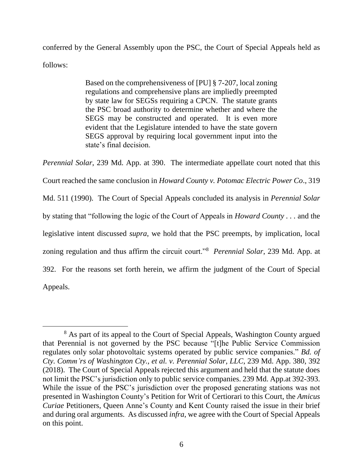conferred by the General Assembly upon the PSC, the Court of Special Appeals held as follows:

> Based on the comprehensiveness of [PU] § 7-207, local zoning regulations and comprehensive plans are impliedly preempted by state law for SEGSs requiring a CPCN. The statute grants the PSC broad authority to determine whether and where the SEGS may be constructed and operated. It is even more evident that the Legislature intended to have the state govern SEGS approval by requiring local government input into the state's final decision.

*Perennial Solar*, 239 Md. App. at 390. The intermediate appellate court noted that this Court reached the same conclusion in *Howard County v. Potomac Electric Power Co*., 319 Md. 511 (1990). The Court of Special Appeals concluded its analysis in *Perennial Solar* by stating that "following the logic of the Court of Appeals in *Howard County . . .* and the legislative intent discussed *supra*, we hold that the PSC preempts, by implication, local zoning regulation and thus affirm the circuit court."<sup>8</sup> *Perennial Solar*, 239 Md. App. at 392. For the reasons set forth herein, we affirm the judgment of the Court of Special Appeals.

<sup>&</sup>lt;sup>8</sup> As part of its appeal to the Court of Special Appeals, Washington County argued that Perennial is not governed by the PSC because "[t]he Public Service Commission regulates only solar photovoltaic systems operated by public service companies." *Bd. of Cty. Comm'rs of Washington Cty., et al. v. Perennial Solar, LLC*, 239 Md. App. 380, 392 (2018). The Court of Special Appeals rejected this argument and held that the statute does not limit the PSC's jurisdiction only to public service companies. 239 Md. App.at 392-393. While the issue of the PSC's jurisdiction over the proposed generating stations was not presented in Washington County's Petition for Writ of Certiorari to this Court, the *Amicus Curiae* Petitioners, Queen Anne's County and Kent County raised the issue in their brief and during oral arguments. As discussed *infra*, we agree with the Court of Special Appeals on this point.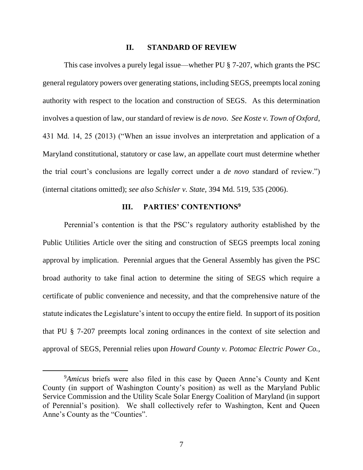#### **II. STANDARD OF REVIEW**

This case involves a purely legal issue—whether PU § 7-207, which grants the PSC general regulatory powers over generating stations, including SEGS, preempts local zoning authority with respect to the location and construction of SEGS. As this determination involves a question of law, our standard of review is *de novo*. *See Koste v. Town of Oxford*, 431 Md. 14, 25 (2013) ("When an issue involves an interpretation and application of a Maryland constitutional, statutory or case law, an appellate court must determine whether the trial court's conclusions are legally correct under a *de novo* standard of review.") (internal citations omitted); *see also Schisler v. State,* 394 Md. 519, 535 (2006).

## **III. PARTIES' CONTENTIONS<sup>9</sup>**

Perennial's contention is that the PSC's regulatory authority established by the Public Utilities Article over the siting and construction of SEGS preempts local zoning approval by implication. Perennial argues that the General Assembly has given the PSC broad authority to take final action to determine the siting of SEGS which require a certificate of public convenience and necessity, and that the comprehensive nature of the statute indicates the Legislature's intent to occupy the entire field. In support of its position that PU § 7-207 preempts local zoning ordinances in the context of site selection and approval of SEGS, Perennial relies upon *Howard County v. Potomac Electric Power Co.,* 

 $\overline{a}$ 

<sup>9</sup>*Amicus* briefs were also filed in this case by Queen Anne's County and Kent County (in support of Washington County's position) as well as the Maryland Public Service Commission and the Utility Scale Solar Energy Coalition of Maryland (in support of Perennial's position). We shall collectively refer to Washington, Kent and Queen Anne's County as the "Counties".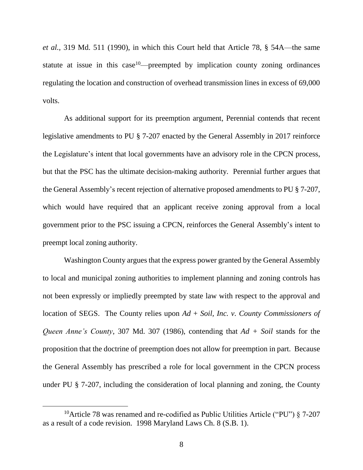*et al.,* 319 Md. 511 (1990), in which this Court held that Article 78, § 54A—the same statute at issue in this case<sup>10</sup>—preempted by implication county zoning ordinances regulating the location and construction of overhead transmission lines in excess of 69,000 volts.

As additional support for its preemption argument, Perennial contends that recent legislative amendments to PU § 7-207 enacted by the General Assembly in 2017 reinforce the Legislature's intent that local governments have an advisory role in the CPCN process, but that the PSC has the ultimate decision-making authority. Perennial further argues that the General Assembly's recent rejection of alternative proposed amendments to PU § 7-207, which would have required that an applicant receive zoning approval from a local government prior to the PSC issuing a CPCN, reinforces the General Assembly's intent to preempt local zoning authority.

Washington County argues that the express power granted by the General Assembly to local and municipal zoning authorities to implement planning and zoning controls has not been expressly or impliedly preempted by state law with respect to the approval and location of SEGS. The County relies upon *Ad* + *Soil, Inc. v. County Commissioners of Queen Anne's County*, 307 Md. 307 (1986), contending that *Ad + Soil* stands for the proposition that the doctrine of preemption does not allow for preemption in part. Because the General Assembly has prescribed a role for local government in the CPCN process under PU § 7-207, including the consideration of local planning and zoning, the County

 $\overline{a}$ 

<sup>&</sup>lt;sup>10</sup>Article 78 was renamed and re-codified as Public Utilities Article ("PU")  $\S$  7-207 as a result of a code revision. 1998 Maryland Laws Ch. 8 (S.B. 1).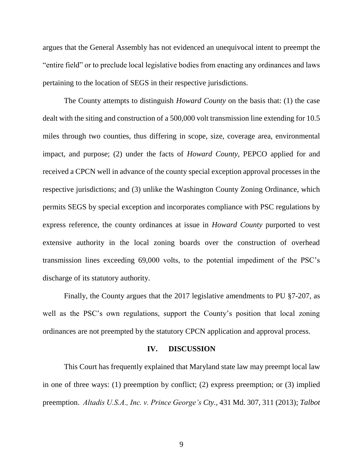argues that the General Assembly has not evidenced an unequivocal intent to preempt the "entire field" or to preclude local legislative bodies from enacting any ordinances and laws pertaining to the location of SEGS in their respective jurisdictions.

The County attempts to distinguish *Howard County* on the basis that: (1) the case dealt with the siting and construction of a 500,000 volt transmission line extending for 10.5 miles through two counties, thus differing in scope, size, coverage area, environmental impact, and purpose; (2) under the facts of *Howard County*, PEPCO applied for and received a CPCN well in advance of the county special exception approval processes in the respective jurisdictions; and (3) unlike the Washington County Zoning Ordinance, which permits SEGS by special exception and incorporates compliance with PSC regulations by express reference, the county ordinances at issue in *Howard County* purported to vest extensive authority in the local zoning boards over the construction of overhead transmission lines exceeding 69,000 volts, to the potential impediment of the PSC's discharge of its statutory authority.

Finally, the County argues that the 2017 legislative amendments to PU §7-207, as well as the PSC's own regulations, support the County's position that local zoning ordinances are not preempted by the statutory CPCN application and approval process.

#### **IV. DISCUSSION**

This Court has frequently explained that Maryland state law may preempt local law in one of three ways: (1) preemption by conflict; (2) express preemption; or (3) implied preemption. *Altadis U.S.A., Inc. v. Prince George's Cty.,* 431 Md. 307, 311 (2013); *Talbot*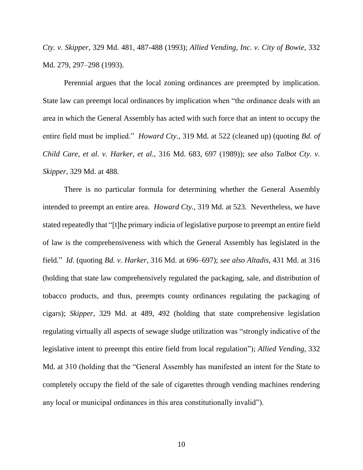*Cty. v. Skipper*, 329 Md. 481, 487-488 (1993); *Allied Vending, Inc. v. City of Bowie*, 332 Md. 279, 297–298 (1993).

Perennial argues that the local zoning ordinances are preempted by implication. State law can preempt local ordinances by implication when "the ordinance deals with an area in which the General Assembly has acted with such force that an intent to occupy the entire field must be implied." *Howard Cty.*, 319 Md. at 522 (cleaned up) (quoting *Bd. of Child Care, et al. v. Harker, et al.,* 316 Md. 683, 697 (1989)); *see also Talbot Cty. v. Skipper*, 329 Md. at 488.

There is no particular formula for determining whether the General Assembly intended to preempt an entire area. *Howard Cty.*, 319 Md. at 523. Nevertheless, we have stated repeatedly that "[t]he primary indicia of legislative purpose to preempt an entire field of law is the comprehensiveness with which the General Assembly has legislated in the field." *Id*. (quoting *Bd. v. Harker,* 316 Md. at 696–697); *see also Altadis*, 431 Md. at 316 (holding that state law comprehensively regulated the packaging, sale, and distribution of tobacco products, and thus, preempts county ordinances regulating the packaging of cigars); *Skipper*, 329 Md. at 489, 492 (holding that state comprehensive legislation regulating virtually all aspects of sewage sludge utilization was "strongly indicative of the legislative intent to preempt this entire field from local regulation"); *Allied Vending*, 332 Md. at 310 (holding that the "General Assembly has manifested an intent for the State to completely occupy the field of the sale of cigarettes through vending machines rendering any local or municipal ordinances in this area constitutionally invalid").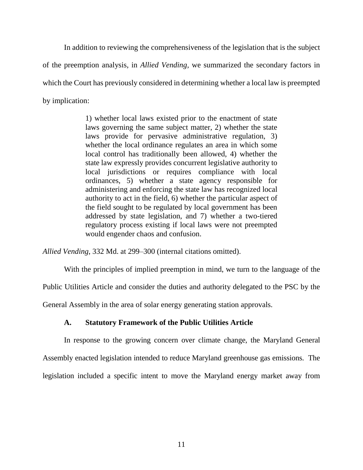In addition to reviewing the comprehensiveness of the legislation that is the subject of the preemption analysis*,* in *Allied Vending,* we summarized the secondary factors in which the Court has previously considered in determining whether a local law is preempted by implication:

> 1) whether local laws existed prior to the enactment of state laws governing the same subject matter, 2) whether the state laws provide for pervasive administrative regulation, 3) whether the local ordinance regulates an area in which some local control has traditionally been allowed, 4) whether the state law expressly provides concurrent legislative authority to local jurisdictions or requires compliance with local ordinances, 5) whether a state agency responsible for administering and enforcing the state law has recognized local authority to act in the field, 6) whether the particular aspect of the field sought to be regulated by local government has been addressed by state legislation, and 7) whether a two-tiered regulatory process existing if local laws were not preempted would engender chaos and confusion.

*Allied Vending*, 332 Md. at 299–300 (internal citations omitted).

With the principles of implied preemption in mind, we turn to the language of the

Public Utilities Article and consider the duties and authority delegated to the PSC by the

General Assembly in the area of solar energy generating station approvals.

## **A. Statutory Framework of the Public Utilities Article**

In response to the growing concern over climate change, the Maryland General Assembly enacted legislation intended to reduce Maryland greenhouse gas emissions. The legislation included a specific intent to move the Maryland energy market away from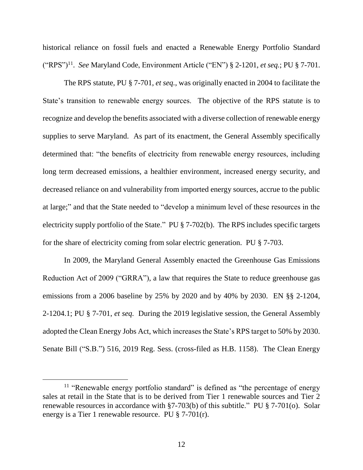historical reliance on fossil fuels and enacted a Renewable Energy Portfolio Standard ("RPS")<sup>11</sup> . *See* Maryland Code, Environment Article ("EN") § 2-1201, *et seq.*; PU § 7-701.

The RPS statute, PU § 7-701, *et seq.*, was originally enacted in 2004 to facilitate the State's transition to renewable energy sources. The objective of the RPS statute is to recognize and develop the benefits associated with a diverse collection of renewable energy supplies to serve Maryland. As part of its enactment, the General Assembly specifically determined that: "the benefits of electricity from renewable energy resources, including long term decreased emissions, a healthier environment, increased energy security, and decreased reliance on and vulnerability from imported energy sources, accrue to the public at large;" and that the State needed to "develop a minimum level of these resources in the electricity supply portfolio of the State." PU § 7-702(b). The RPS includes specific targets for the share of electricity coming from solar electric generation. PU § 7-703.

In 2009, the Maryland General Assembly enacted the Greenhouse Gas Emissions Reduction Act of 2009 ("GRRA"), a law that requires the State to reduce greenhouse gas emissions from a 2006 baseline by 25% by 2020 and by 40% by 2030. EN §§ 2-1204, 2-1204.1; PU § 7-701, *et seq.* During the 2019 legislative session, the General Assembly adopted the Clean Energy Jobs Act, which increases the State's RPS target to 50% by 2030. Senate Bill ("S.B.") 516, 2019 Reg. Sess. (cross-filed as H.B. 1158). The Clean Energy

<sup>&</sup>lt;sup>11</sup> "Renewable energy portfolio standard" is defined as "the percentage of energy sales at retail in the State that is to be derived from Tier 1 renewable sources and Tier 2 renewable resources in accordance with §7-703(b) of this subtitle." PU § 7-701(o). Solar energy is a Tier 1 renewable resource. PU § 7-701(r).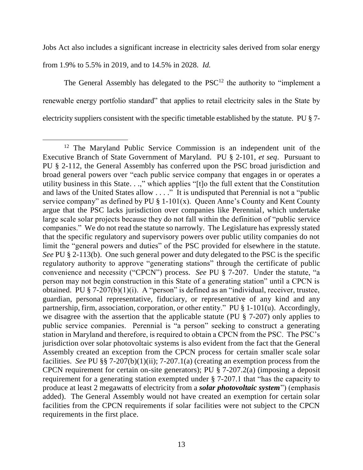Jobs Act also includes a significant increase in electricity sales derived from solar energy

from 1.9% to 5.5% in 2019, and to 14.5% in 2028. *Id.*

The General Assembly has delegated to the  $PSC<sup>12</sup>$  the authority to "implement a renewable energy portfolio standard" that applies to retail electricity sales in the State by electricity suppliers consistent with the specific timetable established by the statute. PU § 7-

 $\overline{a}$ <sup>12</sup> The Maryland Public Service Commission is an independent unit of the Executive Branch of State Government of Maryland. PU § 2-101, *et seq*. Pursuant to PU § 2-112, the General Assembly has conferred upon the PSC broad jurisdiction and broad general powers over "each public service company that engages in or operates a utility business in this State. . .," which applies "[t]o the full extent that the Constitution and laws of the United States allow  $\dots$ ." It is undisputed that Perennial is not a "public" service company" as defined by PU  $\S$  1-101(x). Queen Anne's County and Kent County argue that the PSC lacks jurisdiction over companies like Perennial, which undertake large scale solar projects because they do not fall within the definition of "public service companies." We do not read the statute so narrowly. The Legislature has expressly stated that the specific regulatory and supervisory powers over public utility companies do not limit the "general powers and duties" of the PSC provided for elsewhere in the statute. *See* PU § 2-113(b). One such general power and duty delegated to the PSC is the specific regulatory authority to approve "generating stations" through the certificate of public convenience and necessity ("CPCN") process. *See* PU § 7-207. Under the statute, "a person may not begin construction in this State of a generating station" until a CPCN is obtained. PU  $\S 7-207(b)(1)(i)$ . A "person" is defined as an "individual, receiver, trustee, guardian, personal representative, fiduciary, or representative of any kind and any partnership, firm, association, corporation, or other entity." PU § 1-101(u). Accordingly, we disagree with the assertion that the applicable statute (PU § 7-207) only applies to public service companies. Perennial is "a person" seeking to construct a generating station in Maryland and therefore, is required to obtain a CPCN from the PSC. The PSC's jurisdiction over solar photovoltaic systems is also evident from the fact that the General Assembly created an exception from the CPCN process for certain smaller scale solar facilities. *See* PU §§ 7-207(b)(1)(ii); 7-207.1(a) (creating an exemption process from the CPCN requirement for certain on-site generators); PU § 7-207.2(a) (imposing a deposit requirement for a generating station exempted under § 7-207.1 that "has the capacity to produce at least 2 megawatts of electricity from a *solar photovoltaic system*") (emphasis added). The General Assembly would not have created an exemption for certain solar facilities from the CPCN requirements if solar facilities were not subject to the CPCN requirements in the first place.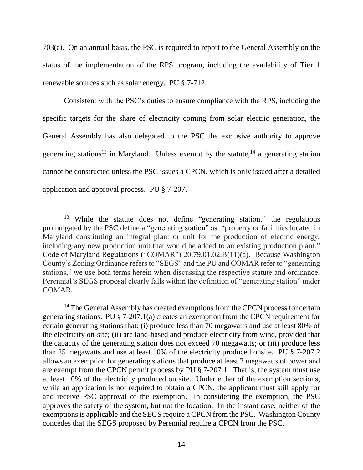703(a). On an annual basis, the PSC is required to report to the General Assembly on the status of the implementation of the RPS program, including the availability of Tier 1 renewable sources such as solar energy. PU § 7-712.

Consistent with the PSC's duties to ensure compliance with the RPS, including the specific targets for the share of electricity coming from solar electric generation, the General Assembly has also delegated to the PSC the exclusive authority to approve generating stations<sup>13</sup> in Maryland. Unless exempt by the statute,  $14$  a generating station cannot be constructed unless the PSC issues a CPCN, which is only issued after a detailed application and approval process. PU § 7-207.

 $\overline{a}$ 

<sup>&</sup>lt;sup>13</sup> While the statute does not define "generating station," the regulations promulgated by the PSC define a "generating station" as: "property or facilities located in Maryland constituting an integral plant or unit for the production of electric energy, including any new production unit that would be added to an existing production plant." Code of Maryland Regulations ("COMAR") 20.79.01.02.B(11)(a). Because Washington County's Zoning Ordinance refers to "SEGS" and the PU and COMAR refer to "generating stations," we use both terms herein when discussing the respective statute and ordinance. Perennial's SEGS proposal clearly falls within the definition of "generating station" under COMAR.

<sup>&</sup>lt;sup>14</sup> The General Assembly has created exemptions from the CPCN process for certain generating stations. PU § 7-207.1(a) creates an exemption from the CPCN requirement for certain generating stations that: (i) produce less than 70 megawatts and use at least 80% of the electricity on-site; (ii) are land-based and produce electricity from wind, provided that the capacity of the generating station does not exceed 70 megawatts; or (iii) produce less than 25 megawatts and use at least 10% of the electricity produced onsite. PU § 7-207.2 allows an exemption for generating stations that produce at least 2 megawatts of power and are exempt from the CPCN permit process by PU § 7-207.1. That is, the system must use at least 10% of the electricity produced on site. Under either of the exemption sections, while an application is not required to obtain a CPCN, the applicant must still apply for and receive PSC approval of the exemption. In considering the exemption, the PSC approves the safety of the system, but not the location. In the instant case, neither of the exemptions is applicable and the SEGS require a CPCN from the PSC. Washington County concedes that the SEGS proposed by Perennial require a CPCN from the PSC.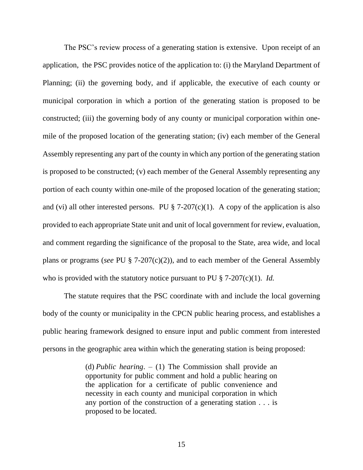The PSC's review process of a generating station is extensive. Upon receipt of an application, the PSC provides notice of the application to: (i) the Maryland Department of Planning; (ii) the governing body, and if applicable, the executive of each county or municipal corporation in which a portion of the generating station is proposed to be constructed; (iii) the governing body of any county or municipal corporation within onemile of the proposed location of the generating station; (iv) each member of the General Assembly representing any part of the county in which any portion of the generating station is proposed to be constructed; (v) each member of the General Assembly representing any portion of each county within one-mile of the proposed location of the generating station; and (vi) all other interested persons. PU  $\S$  7-207(c)(1). A copy of the application is also provided to each appropriate State unit and unit of local government for review, evaluation, and comment regarding the significance of the proposal to the State, area wide, and local plans or programs (*see* PU § 7-207(c)(2)), and to each member of the General Assembly who is provided with the statutory notice pursuant to PU § 7-207(c)(1). *Id.*

The statute requires that the PSC coordinate with and include the local governing body of the county or municipality in the CPCN public hearing process, and establishes a public hearing framework designed to ensure input and public comment from interested persons in the geographic area within which the generating station is being proposed:

> (d) *Public hearing*. *–* (1) The Commission shall provide an opportunity for public comment and hold a public hearing on the application for a certificate of public convenience and necessity in each county and municipal corporation in which any portion of the construction of a generating station . . . is proposed to be located.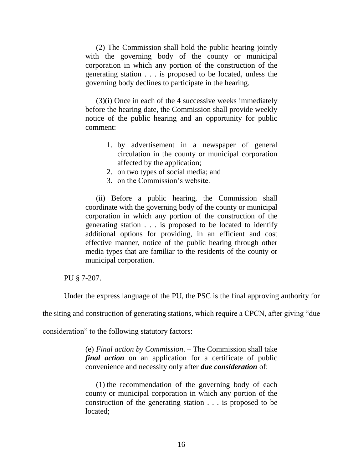(2) The Commission shall hold the public hearing jointly with the governing body of the county or municipal corporation in which any portion of the construction of the generating station . . . is proposed to be located, unless the governing body declines to participate in the hearing.

(3)(i) Once in each of the 4 successive weeks immediately before the hearing date, the Commission shall provide weekly notice of the public hearing and an opportunity for public comment:

- 1. by advertisement in a newspaper of general circulation in the county or municipal corporation affected by the application;
- 2. on two types of social media; and
- 3. on the Commission's website.

(ii) Before a public hearing, the Commission shall coordinate with the governing body of the county or municipal corporation in which any portion of the construction of the generating station . . . is proposed to be located to identify additional options for providing, in an efficient and cost effective manner, notice of the public hearing through other media types that are familiar to the residents of the county or municipal corporation.

PU § 7-207.

Under the express language of the PU, the PSC is the final approving authority for

the siting and construction of generating stations, which require a CPCN, after giving "due

consideration" to the following statutory factors:

(e) *Final action by Commission*. *–* The Commission shall take *final action* on an application for a certificate of public convenience and necessity only after *due consideration* of:

(1) the recommendation of the governing body of each county or municipal corporation in which any portion of the construction of the generating station . . . is proposed to be located;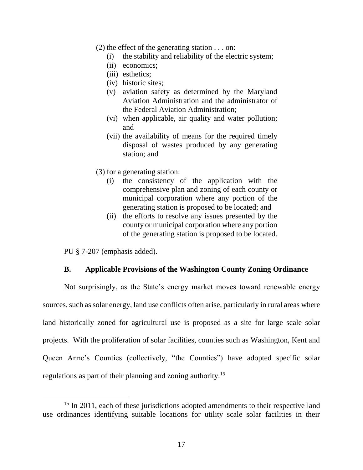- (2) the effect of the generating station . . . on:
	- (i) the stability and reliability of the electric system;
	- (ii) economics;
	- (iii) esthetics;
	- (iv) historic sites;
	- (v) aviation safety as determined by the Maryland Aviation Administration and the administrator of the Federal Aviation Administration;
	- (vi) when applicable, air quality and water pollution; and
	- (vii) the availability of means for the required timely disposal of wastes produced by any generating station; and
- (3) for a generating station:
	- (i) the consistency of the application with the comprehensive plan and zoning of each county or municipal corporation where any portion of the generating station is proposed to be located; and
	- (ii) the efforts to resolve any issues presented by the county or municipal corporation where any portion of the generating station is proposed to be located.

PU § 7-207 (emphasis added).

 $\overline{a}$ 

## **B. Applicable Provisions of the Washington County Zoning Ordinance**

Not surprisingly, as the State's energy market moves toward renewable energy sources, such as solar energy, land use conflicts often arise, particularly in rural areas where land historically zoned for agricultural use is proposed as a site for large scale solar projects. With the proliferation of solar facilities, counties such as Washington, Kent and Queen Anne's Counties (collectively, "the Counties") have adopted specific solar regulations as part of their planning and zoning authority. 15

<sup>&</sup>lt;sup>15</sup> In 2011, each of these jurisdictions adopted amendments to their respective land use ordinances identifying suitable locations for utility scale solar facilities in their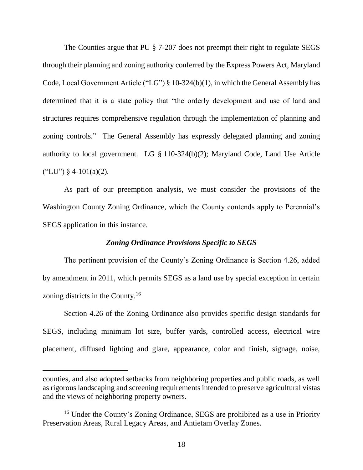The Counties argue that PU § 7-207 does not preempt their right to regulate SEGS through their planning and zoning authority conferred by the Express Powers Act, Maryland Code, Local Government Article ("LG") § 10-324(b)(1), in which the General Assembly has determined that it is a state policy that "the orderly development and use of land and structures requires comprehensive regulation through the implementation of planning and zoning controls." The General Assembly has expressly delegated planning and zoning authority to local government. LG § 110-324(b)(2); Maryland Code, Land Use Article  $("LU")$  § 4-101(a)(2).

As part of our preemption analysis, we must consider the provisions of the Washington County Zoning Ordinance, which the County contends apply to Perennial's SEGS application in this instance.

### *Zoning Ordinance Provisions Specific to SEGS*

The pertinent provision of the County's Zoning Ordinance is Section 4.26, added by amendment in 2011, which permits SEGS as a land use by special exception in certain zoning districts in the County.<sup>16</sup>

Section 4.26 of the Zoning Ordinance also provides specific design standards for SEGS, including minimum lot size, buffer yards, controlled access, electrical wire placement, diffused lighting and glare, appearance, color and finish, signage, noise,

 $\overline{a}$ 

counties, and also adopted setbacks from neighboring properties and public roads, as well as rigorous landscaping and screening requirements intended to preserve agricultural vistas and the views of neighboring property owners.

<sup>&</sup>lt;sup>16</sup> Under the County's Zoning Ordinance, SEGS are prohibited as a use in Priority Preservation Areas, Rural Legacy Areas, and Antietam Overlay Zones.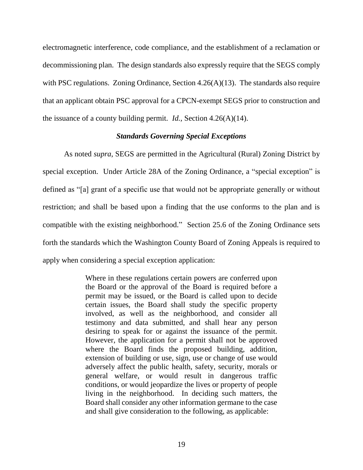electromagnetic interference, code compliance, and the establishment of a reclamation or decommissioning plan. The design standards also expressly require that the SEGS comply with PSC regulations. Zoning Ordinance, Section 4.26(A)(13). The standards also require that an applicant obtain PSC approval for a CPCN-exempt SEGS prior to construction and the issuance of a county building permit. *Id.,* Section 4.26(A)(14).

### *Standards Governing Special Exceptions*

As noted *supra*, SEGS are permitted in the Agricultural (Rural) Zoning District by special exception. Under Article 28A of the Zoning Ordinance, a "special exception" is defined as "[a] grant of a specific use that would not be appropriate generally or without restriction; and shall be based upon a finding that the use conforms to the plan and is compatible with the existing neighborhood." Section 25.6 of the Zoning Ordinance sets forth the standards which the Washington County Board of Zoning Appeals is required to apply when considering a special exception application:

> Where in these regulations certain powers are conferred upon the Board or the approval of the Board is required before a permit may be issued, or the Board is called upon to decide certain issues, the Board shall study the specific property involved, as well as the neighborhood, and consider all testimony and data submitted, and shall hear any person desiring to speak for or against the issuance of the permit. However, the application for a permit shall not be approved where the Board finds the proposed building, addition, extension of building or use, sign, use or change of use would adversely affect the public health, safety, security, morals or general welfare, or would result in dangerous traffic conditions, or would jeopardize the lives or property of people living in the neighborhood. In deciding such matters, the Board shall consider any other information germane to the case and shall give consideration to the following, as applicable: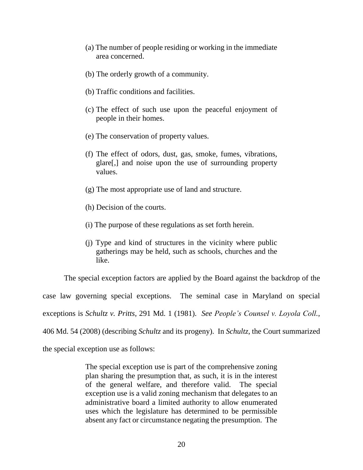- (a) The number of people residing or working in the immediate area concerned.
- (b) The orderly growth of a community.
- (b) Traffic conditions and facilities.
- (c) The effect of such use upon the peaceful enjoyment of people in their homes.
- (e) The conservation of property values.
- (f) The effect of odors, dust, gas, smoke, fumes, vibrations, glare[,] and noise upon the use of surrounding property values.
- (g) The most appropriate use of land and structure.
- (h) Decision of the courts.
- (i) The purpose of these regulations as set forth herein.
- (j) Type and kind of structures in the vicinity where public gatherings may be held, such as schools, churches and the like.

The special exception factors are applied by the Board against the backdrop of the case law governing special exceptions. The seminal case in Maryland on special exceptions is *Schultz v. Pritts*, 291 Md. 1 (1981). *See People's Counsel v. Loyola Coll.*, 406 Md. 54 (2008) (describing *Schultz* and its progeny). In *Schultz*, the Court summarized

the special exception use as follows:

The special exception use is part of the comprehensive zoning plan sharing the presumption that, as such, it is in the interest of the general welfare, and therefore valid. The special exception use is a valid zoning mechanism that delegates to an administrative board a limited authority to allow enumerated uses which the legislature has determined to be permissible absent any fact or circumstance negating the presumption. The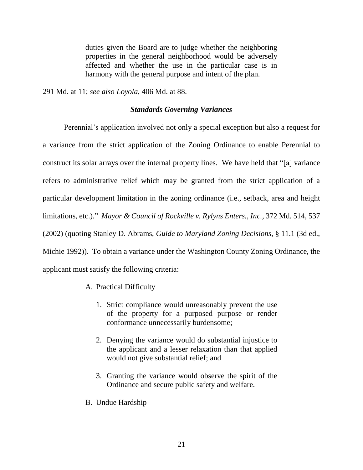duties given the Board are to judge whether the neighboring properties in the general neighborhood would be adversely affected and whether the use in the particular case is in harmony with the general purpose and intent of the plan.

291 Md. at 11; *see also Loyola*, 406 Md. at 88.

### *Standards Governing Variances*

Perennial's application involved not only a special exception but also a request for a variance from the strict application of the Zoning Ordinance to enable Perennial to construct its solar arrays over the internal property lines. We have held that "[a] variance refers to administrative relief which may be granted from the strict application of a particular development limitation in the zoning ordinance (i.e., setback, area and height limitations, etc.)." *Mayor & Council of Rockville v. Rylyns Enters., Inc.,* 372 Md. 514, 537 (2002) (quoting Stanley D. Abrams, *Guide to Maryland Zoning Decisions,* § 11.1 (3d ed., Michie 1992)). To obtain a variance under the Washington County Zoning Ordinance, the applicant must satisfy the following criteria:

- A. Practical Difficulty
	- 1. Strict compliance would unreasonably prevent the use of the property for a purposed purpose or render conformance unnecessarily burdensome;
	- 2. Denying the variance would do substantial injustice to the applicant and a lesser relaxation than that applied would not give substantial relief; and
	- 3. Granting the variance would observe the spirit of the Ordinance and secure public safety and welfare.
- B. Undue Hardship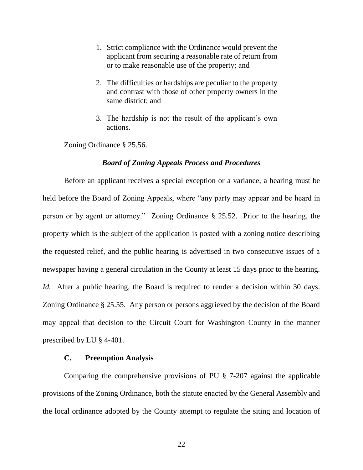- 1. Strict compliance with the Ordinance would prevent the applicant from securing a reasonable rate of return from or to make reasonable use of the property; and
- 2. The difficulties or hardships are peculiar to the property and contrast with those of other property owners in the same district; and
- 3. The hardship is not the result of the applicant's own actions.

Zoning Ordinance § 25.56.

#### *Board of Zoning Appeals Process and Procedures*

Before an applicant receives a special exception or a variance, a hearing must be held before the Board of Zoning Appeals, where "any party may appear and be heard in person or by agent or attorney." Zoning Ordinance § 25.52. Prior to the hearing, the property which is the subject of the application is posted with a zoning notice describing the requested relief, and the public hearing is advertised in two consecutive issues of a newspaper having a general circulation in the County at least 15 days prior to the hearing. *Id.* After a public hearing, the Board is required to render a decision within 30 days. Zoning Ordinance § 25.55. Any person or persons aggrieved by the decision of the Board may appeal that decision to the Circuit Court for Washington County in the manner prescribed by LU § 4-401.

#### **C. Preemption Analysis**

Comparing the comprehensive provisions of PU § 7-207 against the applicable provisions of the Zoning Ordinance, both the statute enacted by the General Assembly and the local ordinance adopted by the County attempt to regulate the siting and location of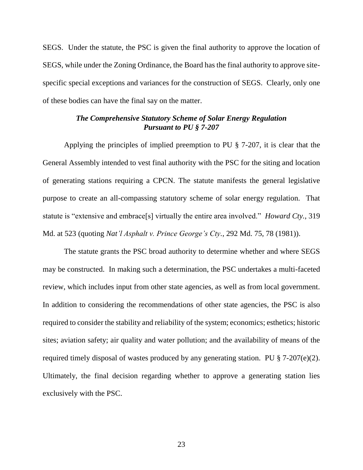SEGS. Under the statute, the PSC is given the final authority to approve the location of SEGS, while under the Zoning Ordinance, the Board has the final authority to approve sitespecific special exceptions and variances for the construction of SEGS. Clearly, only one of these bodies can have the final say on the matter.

## *The Comprehensive Statutory Scheme of Solar Energy Regulation Pursuant to PU § 7-207*

Applying the principles of implied preemption to PU § 7-207, it is clear that the General Assembly intended to vest final authority with the PSC for the siting and location of generating stations requiring a CPCN. The statute manifests the general legislative purpose to create an all-compassing statutory scheme of solar energy regulation. That statute is "extensive and embrace[s] virtually the entire area involved." *Howard Cty.*, 319 Md. at 523 (quoting *Nat'l Asphalt v. Prince George's Cty.*, 292 Md. 75, 78 (1981)).

The statute grants the PSC broad authority to determine whether and where SEGS may be constructed. In making such a determination, the PSC undertakes a multi-faceted review, which includes input from other state agencies, as well as from local government. In addition to considering the recommendations of other state agencies, the PSC is also required to consider the stability and reliability of the system; economics; esthetics; historic sites; aviation safety; air quality and water pollution; and the availability of means of the required timely disposal of wastes produced by any generating station. PU § 7-207(e)(2). Ultimately, the final decision regarding whether to approve a generating station lies exclusively with the PSC.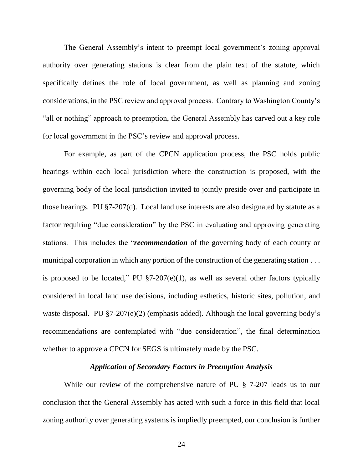The General Assembly's intent to preempt local government's zoning approval authority over generating stations is clear from the plain text of the statute, which specifically defines the role of local government, as well as planning and zoning considerations, in the PSC review and approval process. Contrary to Washington County's "all or nothing" approach to preemption, the General Assembly has carved out a key role for local government in the PSC's review and approval process.

For example, as part of the CPCN application process, the PSC holds public hearings within each local jurisdiction where the construction is proposed, with the governing body of the local jurisdiction invited to jointly preside over and participate in those hearings. PU §7-207(d). Local land use interests are also designated by statute as a factor requiring "due consideration" by the PSC in evaluating and approving generating stations. This includes the "*recommendation* of the governing body of each county or municipal corporation in which any portion of the construction of the generating station . . . is proposed to be located," PU  $\S7-207(e)(1)$ , as well as several other factors typically considered in local land use decisions, including esthetics, historic sites, pollution, and waste disposal. PU §7-207(e)(2) (emphasis added). Although the local governing body's recommendations are contemplated with "due consideration", the final determination whether to approve a CPCN for SEGS is ultimately made by the PSC.

### *Application of Secondary Factors in Preemption Analysis*

While our review of the comprehensive nature of PU § 7-207 leads us to our conclusion that the General Assembly has acted with such a force in this field that local zoning authority over generating systems is impliedly preempted, our conclusion is further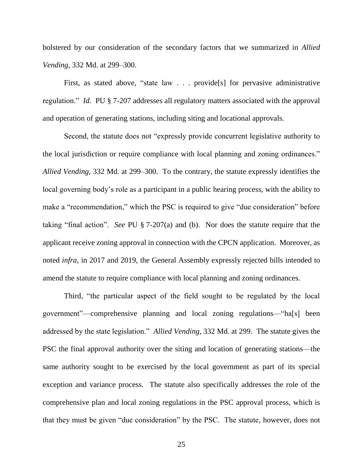bolstered by our consideration of the secondary factors that we summarized in *Allied Vending*, 332 Md. at 299–300.

First, as stated above, "state law . . . provide[s] for pervasive administrative regulation." *Id.* PU § 7-207 addresses all regulatory matters associated with the approval and operation of generating stations, including siting and locational approvals.

Second, the statute does not "expressly provide concurrent legislative authority to the local jurisdiction or require compliance with local planning and zoning ordinances." *Allied Vending*, 332 Md. at 299–300. To the contrary, the statute expressly identifies the local governing body's role as a participant in a public hearing process, with the ability to make a "recommendation," which the PSC is required to give "due consideration" before taking "final action". *See* PU § 7-207(a) and (b). Nor does the statute require that the applicant receive zoning approval in connection with the CPCN application. Moreover, as noted *infra*, in 2017 and 2019, the General Assembly expressly rejected bills intended to amend the statute to require compliance with local planning and zoning ordinances.

Third, "the particular aspect of the field sought to be regulated by the local government"—comprehensive planning and local zoning regulations—"ha[s] been addressed by the state legislation." *Allied Vending*, 332 Md. at 299. The statute gives the PSC the final approval authority over the siting and location of generating stations—the same authority sought to be exercised by the local government as part of its special exception and variance process. The statute also specifically addresses the role of the comprehensive plan and local zoning regulations in the PSC approval process, which is that they must be given "due consideration" by the PSC. The statute, however, does not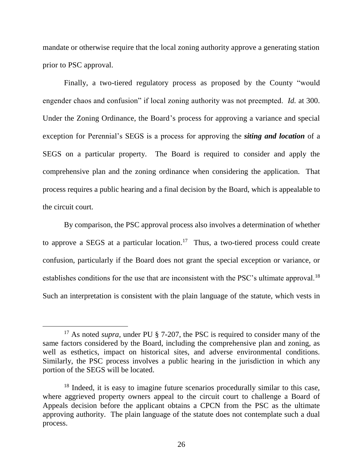mandate or otherwise require that the local zoning authority approve a generating station prior to PSC approval.

Finally, a two-tiered regulatory process as proposed by the County "would engender chaos and confusion" if local zoning authority was not preempted. *Id.* at 300. Under the Zoning Ordinance, the Board's process for approving a variance and special exception for Perennial's SEGS is a process for approving the *siting and location* of a SEGS on a particular property. The Board is required to consider and apply the comprehensive plan and the zoning ordinance when considering the application. That process requires a public hearing and a final decision by the Board, which is appealable to the circuit court.

By comparison, the PSC approval process also involves a determination of whether to approve a SEGS at a particular location.<sup>17</sup> Thus, a two-tiered process could create confusion, particularly if the Board does not grant the special exception or variance, or establishes conditions for the use that are inconsistent with the PSC's ultimate approval.<sup>18</sup> Such an interpretation is consistent with the plain language of the statute, which vests in

<sup>&</sup>lt;sup>17</sup> As noted *supra*, under PU § 7-207, the PSC is required to consider many of the same factors considered by the Board, including the comprehensive plan and zoning, as well as esthetics, impact on historical sites, and adverse environmental conditions. Similarly, the PSC process involves a public hearing in the jurisdiction in which any portion of the SEGS will be located.

<sup>&</sup>lt;sup>18</sup> Indeed, it is easy to imagine future scenarios procedurally similar to this case, where aggrieved property owners appeal to the circuit court to challenge a Board of Appeals decision before the applicant obtains a CPCN from the PSC as the ultimate approving authority. The plain language of the statute does not contemplate such a dual process.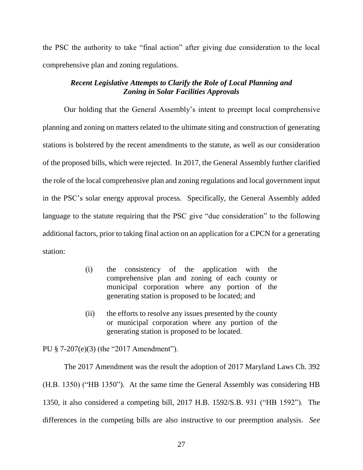the PSC the authority to take "final action" after giving due consideration to the local comprehensive plan and zoning regulations.

## *Recent Legislative Attempts to Clarify the Role of Local Planning and Zoning in Solar Facilities Approvals*

Our holding that the General Assembly's intent to preempt local comprehensive planning and zoning on matters related to the ultimate siting and construction of generating stations is bolstered by the recent amendments to the statute, as well as our consideration of the proposed bills, which were rejected. In 2017, the General Assembly further clarified the role of the local comprehensive plan and zoning regulations and local government input in the PSC's solar energy approval process. Specifically, the General Assembly added language to the statute requiring that the PSC give "due consideration" to the following additional factors, prior to taking final action on an application for a CPCN for a generating station:

- (i) the consistency of the application with the comprehensive plan and zoning of each county or municipal corporation where any portion of the generating station is proposed to be located; and
- (ii) the efforts to resolve any issues presented by the county or municipal corporation where any portion of the generating station is proposed to be located.

PU § 7-207(e)(3) (the "2017 Amendment").

The 2017 Amendment was the result the adoption of 2017 Maryland Laws Ch. 392 (H.B. 1350) ("HB 1350"). At the same time the General Assembly was considering HB 1350, it also considered a competing bill, 2017 H.B. 1592/S.B. 931 ("HB 1592"). The differences in the competing bills are also instructive to our preemption analysis. *See*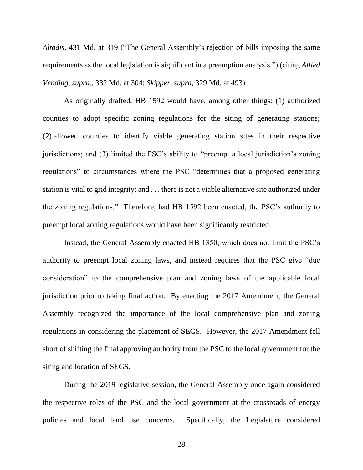*Altadis*, 431 Md. at 319 ("The General Assembly's rejection of bills imposing the same requirements as the local legislation is significant in a preemption analysis.") (citing *Allied Vending, supra.,* 332 Md. at 304; *Skipper*, *supra*, 329 Md. at 493).

As originally drafted, HB 1592 would have, among other things: (1) authorized counties to adopt specific zoning regulations for the siting of generating stations; (2) allowed counties to identify viable generating station sites in their respective jurisdictions; and (3) limited the PSC's ability to "preempt a local jurisdiction's zoning regulations" to circumstances where the PSC "determines that a proposed generating station is vital to grid integrity; and . . . there is not a viable alternative site authorized under the zoning regulations." Therefore, had HB 1592 been enacted, the PSC's authority to preempt local zoning regulations would have been significantly restricted.

Instead, the General Assembly enacted HB 1350, which does not limit the PSC's authority to preempt local zoning laws, and instead requires that the PSC give "due consideration" to the comprehensive plan and zoning laws of the applicable local jurisdiction prior to taking final action. By enacting the 2017 Amendment, the General Assembly recognized the importance of the local comprehensive plan and zoning regulations in considering the placement of SEGS. However, the 2017 Amendment fell short of shifting the final approving authority from the PSC to the local government for the siting and location of SEGS.

During the 2019 legislative session, the General Assembly once again considered the respective roles of the PSC and the local government at the crossroads of energy policies and local land use concerns. Specifically, the Legislature considered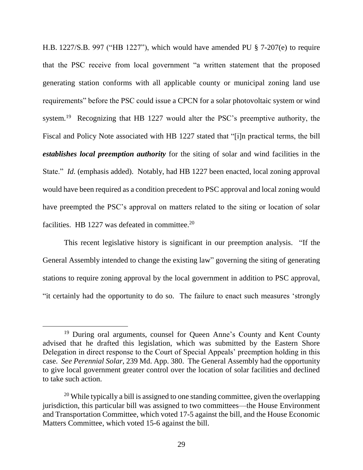H.B. 1227/S.B. 997 ("HB 1227"), which would have amended PU § 7-207(e) to require that the PSC receive from local government "a written statement that the proposed generating station conforms with all applicable county or municipal zoning land use requirements" before the PSC could issue a CPCN for a solar photovoltaic system or wind system.<sup>19</sup> Recognizing that HB 1227 would alter the PSC's preemptive authority, the Fiscal and Policy Note associated with HB 1227 stated that "[i]n practical terms, the bill *establishes local preemption authority* for the siting of solar and wind facilities in the State." *Id.* (emphasis added). Notably, had HB 1227 been enacted, local zoning approval would have been required as a condition precedent to PSC approval and local zoning would have preempted the PSC's approval on matters related to the siting or location of solar facilities. HB 1227 was defeated in committee.<sup>20</sup>

This recent legislative history is significant in our preemption analysis. "If the General Assembly intended to change the existing law" governing the siting of generating stations to require zoning approval by the local government in addition to PSC approval, "it certainly had the opportunity to do so. The failure to enact such measures 'strongly

<sup>&</sup>lt;sup>19</sup> During oral arguments, counsel for Queen Anne's County and Kent County advised that he drafted this legislation, which was submitted by the Eastern Shore Delegation in direct response to the Court of Special Appeals' preemption holding in this case. *See Perennial Solar*, 239 Md. App. 380. The General Assembly had the opportunity to give local government greater control over the location of solar facilities and declined to take such action.

 $20$  While typically a bill is assigned to one standing committee, given the overlapping jurisdiction, this particular bill was assigned to two committees—the House Environment and Transportation Committee, which voted 17-5 against the bill, and the House Economic Matters Committee, which voted 15-6 against the bill.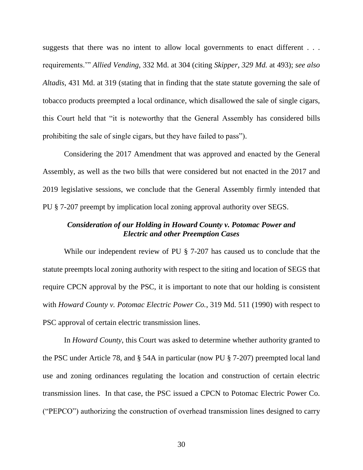suggests that there was no intent to allow local governments to enact different . . . requirements.'" *Allied Vending*, 332 Md. at 304 (citing *Skipper, 329 Md.* at 493); *see also Altadis*, 431 Md. at 319 (stating that in finding that the state statute governing the sale of tobacco products preempted a local ordinance, which disallowed the sale of single cigars, this Court held that "it is noteworthy that the General Assembly has considered bills prohibiting the sale of single cigars, but they have failed to pass").

Considering the 2017 Amendment that was approved and enacted by the General Assembly, as well as the two bills that were considered but not enacted in the 2017 and 2019 legislative sessions, we conclude that the General Assembly firmly intended that PU § 7-207 preempt by implication local zoning approval authority over SEGS.

## *Consideration of our Holding in Howard County v. Potomac Power and Electric and other Preemption Cases*

While our independent review of PU § 7-207 has caused us to conclude that the statute preempts local zoning authority with respect to the siting and location of SEGS that require CPCN approval by the PSC, it is important to note that our holding is consistent with *Howard County v. Potomac Electric Power Co.*, 319 Md. 511 (1990) with respect to PSC approval of certain electric transmission lines.

In *Howard County*, this Court was asked to determine whether authority granted to the PSC under Article 78, and § 54A in particular (now PU § 7-207) preempted local land use and zoning ordinances regulating the location and construction of certain electric transmission lines. In that case, the PSC issued a CPCN to Potomac Electric Power Co. ("PEPCO") authorizing the construction of overhead transmission lines designed to carry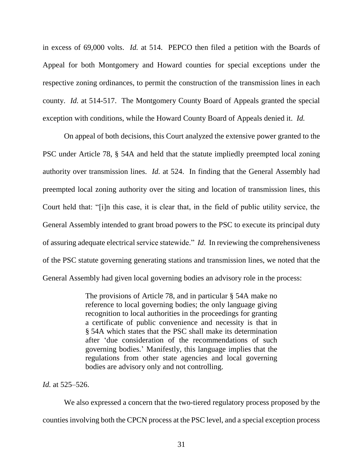in excess of 69,000 volts. *Id.* at 514. PEPCO then filed a petition with the Boards of Appeal for both Montgomery and Howard counties for special exceptions under the respective zoning ordinances, to permit the construction of the transmission lines in each county. *Id.* at 514-517. The Montgomery County Board of Appeals granted the special exception with conditions, while the Howard County Board of Appeals denied it. *Id.*

On appeal of both decisions, this Court analyzed the extensive power granted to the PSC under Article 78, § 54A and held that the statute impliedly preempted local zoning authority over transmission lines. *Id.* at 524. In finding that the General Assembly had preempted local zoning authority over the siting and location of transmission lines, this Court held that: "[i]n this case, it is clear that, in the field of public utility service, the General Assembly intended to grant broad powers to the PSC to execute its principal duty of assuring adequate electrical service statewide." *Id.* In reviewing the comprehensiveness of the PSC statute governing generating stations and transmission lines, we noted that the General Assembly had given local governing bodies an advisory role in the process:

> The provisions of Article 78, and in particular § 54A make no reference to local governing bodies; the only language giving recognition to local authorities in the proceedings for granting a certificate of public convenience and necessity is that in § 54A which states that the PSC shall make its determination after 'due consideration of the recommendations of such governing bodies.' Manifestly, this language implies that the regulations from other state agencies and local governing bodies are advisory only and not controlling.

#### *Id.* at 525–526.

We also expressed a concern that the two-tiered regulatory process proposed by the counties involving both the CPCN process at the PSC level, and a special exception process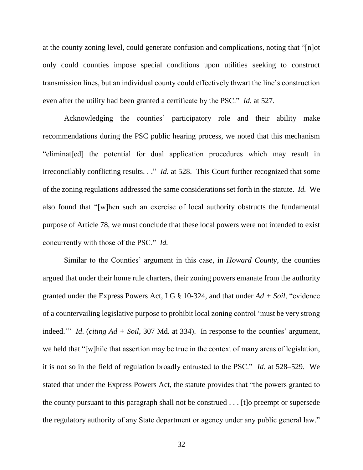at the county zoning level, could generate confusion and complications, noting that "[n]ot only could counties impose special conditions upon utilities seeking to construct transmission lines, but an individual county could effectively thwart the line's construction even after the utility had been granted a certificate by the PSC." *Id.* at 527.

Acknowledging the counties' participatory role and their ability make recommendations during the PSC public hearing process, we noted that this mechanism "eliminat[ed] the potential for dual application procedures which may result in irreconcilably conflicting results. . ." *Id.* at 528. This Court further recognized that some of the zoning regulations addressed the same considerations set forth in the statute. *Id.* We also found that "[w]hen such an exercise of local authority obstructs the fundamental purpose of Article 78, we must conclude that these local powers were not intended to exist concurrently with those of the PSC." *Id.* 

Similar to the Counties' argument in this case, in *Howard County*, the counties argued that under their home rule charters, their zoning powers emanate from the authority granted under the Express Powers Act, LG § 10-324, and that under *Ad + Soil*, "evidence of a countervailing legislative purpose to prohibit local zoning control 'must be very strong indeed.'" *Id*. (*citing Ad + Soil*, 307 Md. at 334). In response to the counties' argument, we held that "[w]hile that assertion may be true in the context of many areas of legislation, it is not so in the field of regulation broadly entrusted to the PSC." *Id.* at 528–529. We stated that under the Express Powers Act, the statute provides that "the powers granted to the county pursuant to this paragraph shall not be construed . . . [t]o preempt or supersede the regulatory authority of any State department or agency under any public general law."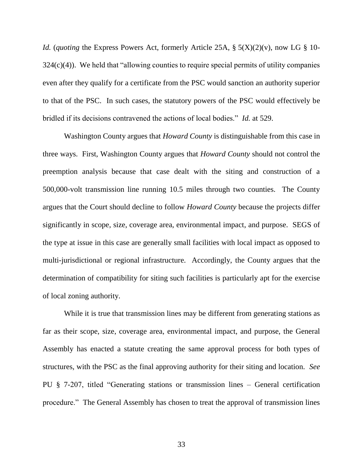*Id.* (*quoting* the Express Powers Act, formerly Article 25A, § 5(X)(2)(v), now LG § 10-  $324(c)(4)$ ). We held that "allowing counties to require special permits of utility companies even after they qualify for a certificate from the PSC would sanction an authority superior to that of the PSC. In such cases, the statutory powers of the PSC would effectively be bridled if its decisions contravened the actions of local bodies." *Id.* at 529.

Washington County argues that *Howard County* is distinguishable from this case in three ways. First, Washington County argues that *Howard County* should not control the preemption analysis because that case dealt with the siting and construction of a 500,000-volt transmission line running 10.5 miles through two counties. The County argues that the Court should decline to follow *Howard County* because the projects differ significantly in scope, size, coverage area, environmental impact, and purpose. SEGS of the type at issue in this case are generally small facilities with local impact as opposed to multi-jurisdictional or regional infrastructure. Accordingly, the County argues that the determination of compatibility for siting such facilities is particularly apt for the exercise of local zoning authority.

While it is true that transmission lines may be different from generating stations as far as their scope, size, coverage area, environmental impact, and purpose, the General Assembly has enacted a statute creating the same approval process for both types of structures, with the PSC as the final approving authority for their siting and location. *See* PU § 7-207, titled "Generating stations or transmission lines – General certification procedure." The General Assembly has chosen to treat the approval of transmission lines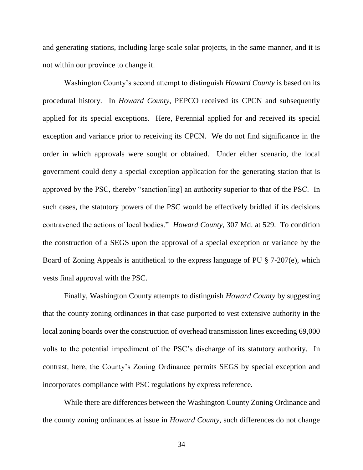and generating stations, including large scale solar projects, in the same manner, and it is not within our province to change it.

Washington County's second attempt to distinguish *Howard County* is based on its procedural history. In *Howard County*, PEPCO received its CPCN and subsequently applied for its special exceptions. Here, Perennial applied for and received its special exception and variance prior to receiving its CPCN. We do not find significance in the order in which approvals were sought or obtained. Under either scenario, the local government could deny a special exception application for the generating station that is approved by the PSC, thereby "sanction[ing] an authority superior to that of the PSC. In such cases, the statutory powers of the PSC would be effectively bridled if its decisions contravened the actions of local bodies." *Howard County*, 307 Md. at 529. To condition the construction of a SEGS upon the approval of a special exception or variance by the Board of Zoning Appeals is antithetical to the express language of PU § 7-207(e), which vests final approval with the PSC.

Finally, Washington County attempts to distinguish *Howard County* by suggesting that the county zoning ordinances in that case purported to vest extensive authority in the local zoning boards over the construction of overhead transmission lines exceeding 69,000 volts to the potential impediment of the PSC's discharge of its statutory authority. In contrast, here, the County's Zoning Ordinance permits SEGS by special exception and incorporates compliance with PSC regulations by express reference.

While there are differences between the Washington County Zoning Ordinance and the county zoning ordinances at issue in *Howard County*, such differences do not change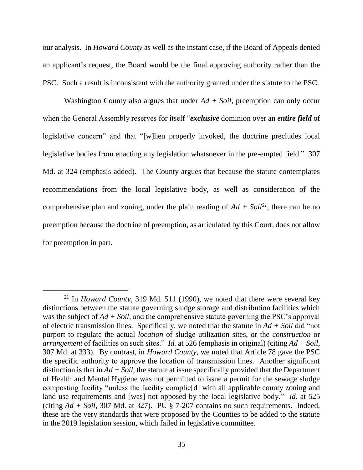our analysis. In *Howard County* as well as the instant case, if the Board of Appeals denied an applicant's request, the Board would be the final approving authority rather than the PSC. Such a result is inconsistent with the authority granted under the statute to the PSC.

Washington County also argues that under *Ad + Soil*, preemption can only occur when the General Assembly reserves for itself "*exclusive* dominion over an *entire field* of legislative concern" and that "[w]hen properly invoked, the doctrine precludes local legislative bodies from enacting any legislation whatsoever in the pre-empted field." 307 Md. at 324 (emphasis added). The County argues that because the statute contemplates recommendations from the local legislative body, as well as consideration of the comprehensive plan and zoning, under the plain reading of  $Ad + Soi^{2}$ , there can be no preemption because the doctrine of preemption, as articulated by this Court, does not allow for preemption in part.

 $\overline{a}$ 

<sup>21</sup> In *Howard County*, 319 Md. 511 (1990), we noted that there were several key distinctions between the statute governing sludge storage and distribution facilities which was the subject of  $Ad + Soil$ , and the comprehensive statute governing the PSC's approval of electric transmission lines. Specifically, we noted that the statute in *Ad + Soil* did "not purport to regulate the actual *location* of sludge utilization sites, or the *construction* or *arrangement* of facilities on such sites." *Id.* at 526 (emphasis in original) (citing *Ad + Soil*, 307 Md. at 333). By contrast, in *Howard County*, we noted that Article 78 gave the PSC the specific authority to approve the location of transmission lines. Another significant distinction is that in *Ad + Soil*, the statute at issue specifically provided that the Department of Health and Mental Hygiene was not permitted to issue a permit for the sewage sludge composting facility "unless the facility complie[d] with all applicable county zoning and land use requirements and [was] not opposed by the local legislative body." *Id.* at 525 (citing *Ad + Soil*, 307 Md. at 327). PU § 7-207 contains no such requirements. Indeed, these are the very standards that were proposed by the Counties to be added to the statute in the 2019 legislation session, which failed in legislative committee.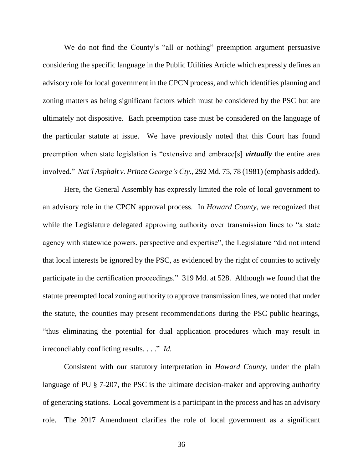We do not find the County's "all or nothing" preemption argument persuasive considering the specific language in the Public Utilities Article which expressly defines an advisory role for local government in the CPCN process, and which identifies planning and zoning matters as being significant factors which must be considered by the PSC but are ultimately not dispositive. Each preemption case must be considered on the language of the particular statute at issue. We have previously noted that this Court has found preemption when state legislation is "extensive and embrace[s] *virtually* the entire area involved." *Nat'l Asphalt v. Prince George's Cty.*, 292 Md. 75, 78 (1981) (emphasis added).

Here, the General Assembly has expressly limited the role of local government to an advisory role in the CPCN approval process. In *Howard County*, we recognized that while the Legislature delegated approving authority over transmission lines to "a state agency with statewide powers, perspective and expertise", the Legislature "did not intend that local interests be ignored by the PSC, as evidenced by the right of counties to actively participate in the certification proceedings." 319 Md. at 528. Although we found that the statute preempted local zoning authority to approve transmission lines, we noted that under the statute, the counties may present recommendations during the PSC public hearings, "thus eliminating the potential for dual application procedures which may result in irreconcilably conflicting results. . . ." *Id.*

Consistent with our statutory interpretation in *Howard County*, under the plain language of PU § 7-207, the PSC is the ultimate decision-maker and approving authority of generating stations. Local government is a participant in the process and has an advisory role. The 2017 Amendment clarifies the role of local government as a significant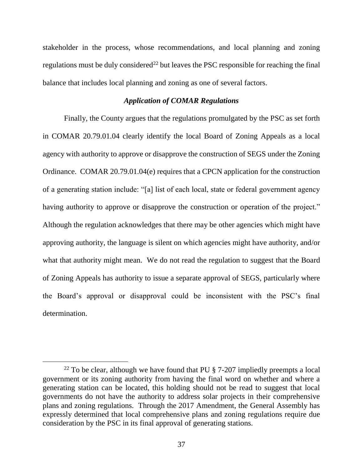stakeholder in the process, whose recommendations, and local planning and zoning regulations must be duly considered<sup>22</sup> but leaves the PSC responsible for reaching the final balance that includes local planning and zoning as one of several factors.

### *Application of COMAR Regulations*

Finally, the County argues that the regulations promulgated by the PSC as set forth in COMAR 20.79.01.04 clearly identify the local Board of Zoning Appeals as a local agency with authority to approve or disapprove the construction of SEGS under the Zoning Ordinance. COMAR 20.79.01.04(e) requires that a CPCN application for the construction of a generating station include: "[a] list of each local, state or federal government agency having authority to approve or disapprove the construction or operation of the project." Although the regulation acknowledges that there may be other agencies which might have approving authority, the language is silent on which agencies might have authority, and/or what that authority might mean. We do not read the regulation to suggest that the Board of Zoning Appeals has authority to issue a separate approval of SEGS, particularly where the Board's approval or disapproval could be inconsistent with the PSC's final determination.

 $\overline{a}$ 

<sup>&</sup>lt;sup>22</sup> To be clear, although we have found that PU  $\S$  7-207 impliedly preempts a local government or its zoning authority from having the final word on whether and where a generating station can be located, this holding should not be read to suggest that local governments do not have the authority to address solar projects in their comprehensive plans and zoning regulations. Through the 2017 Amendment, the General Assembly has expressly determined that local comprehensive plans and zoning regulations require due consideration by the PSC in its final approval of generating stations.